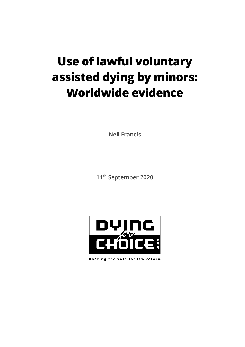# **Use of lawful voluntary assisted dying by minors: Worldwide evidence**

**Neil Francis**

**11th September 2020**



Rocking the vote for law reform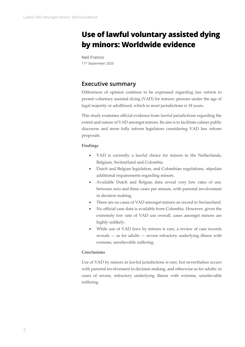# **Use of lawful voluntary assisted dying by minors: Worldwide evidence**

Neil Francis 11<sup>th</sup> September 2020

# <span id="page-1-0"></span>**Executive summary**

Differences of opinion continue to be expressed regarding law reform to permit voluntary assisted dying (VAD) for minors: persons under the age of legal majority or adulthood, which in most jurisdictions is 18 years.

This study examines official evidence from lawful jurisdictions regarding the extent and nature of VAD amongst minors. Its aim is to facilitate calmer public discourse and more fully inform legislators considering VAD law reform proposals.

#### **Findings**

- VAD is currently a lawful choice for minors in the Netherlands, Belgium, Switzerland and Colombia.
- Dutch and Belgian legislation, and Colombian regulations, stipulate additional requirements regarding minors.
- Available Dutch and Belgian data reveal very low rates of use, between zero and three cases per annum, with parental involvement in decision making.
- There are no cases of VAD amongst minors on record in Switzerland.
- No official case data is available from Colombia. However, given the extremely low rate of VAD use overall, cases amongst minors are highly unlikely.
- While use of VAD laws by minors is rare, a review of case records reveals — as for adults — severe refractory underlying illness with extreme, unrelievable suffering.

#### **Conclusions**

Use of VAD by minors in lawful jurisdictions is rare, but nevertheless occurs with parental involvement in decision making, and otherwise as for adults: in cases of severe, refractory underlying illness with extreme, unrelievable suffering.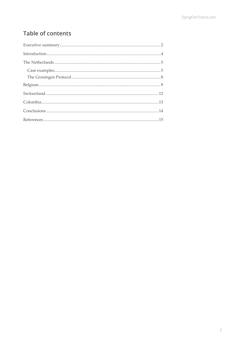# **Table of contents**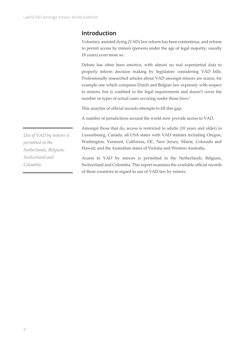## <span id="page-3-0"></span>**Introduction**

Voluntary assisted dying (VAD) law reform has been contentious, and reform to permit access by minors (persons under the age of legal majority, usually 18 years) even more so.

Debate has often been emotive, with almost no real experiential data to properly inform decision making by legislators considering VAD bills. Professionally researched articles about VAD amongst minors are scarce, for example one which compares Dutch and Belgian law expressly with respect to minors, but is confined to the legal requirements and doesn't cover the number or types of actual cases occuring under those laws. 1

This anaylsis of official records attempts to fill this gap.

A number of jurisdictions around the world now provide access to VAD.

Amongst those that do, access is restricted to adults (18 years and older) in Luxembourg, Canada; all USA states with VAD statutes including Oregon, Washington, Vermont, California, DC, New Jersey, Maine, Colorado and Hawaii; and the Australian states of Victoria and Western Australia.

Access to VAD by minors is permitted in the Netherlands, Belgium, Switzerland and Colombia. This report examines the available official records of these countries in regard to use of VAD law by minors.

*Use of VAD by minors is permitted in the Netherlands, Belgium, Switzerland and Colombia.*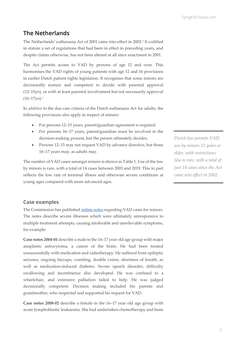### <span id="page-4-0"></span>**The Netherlands**

The Netherlands' euthanasia Act of 2001 came into effect in 2002. <sup>2</sup> It codified in statute a set of regulations that had been in effect in preceding years, and despite claims otherwise, has not been altered at all since enactment in 2001.

The Act permits access to VAD by persons of age 12 and over. This harmonises the VAD rights of young patients with age 12 and 16 provisions in earlier Dutch patient rights legislation. It recognises that some minors are decisionally mature and competent to decide with parental approval (12–15yo), or with at least parental involvement but not necessarily approval (16–17yo). 3

In *addition* to the due care criteria of the Dutch euthanasia Act for adults, the following provisions also apply in respect of minors:

- For persons 12–15 years, parent/guardian agreement is required.
- For persons 16–17 years, parent/guardian must be involved in the decision-making process, but the person ultimately decides.
- Persons 12–15 may not request VAD by advance directive, but those 16–17 years may, as adults may.

The number of VAD cases amongst minors is shown in Table 1. Use of the law by minors is rare, with a total of 14 cases between 2003 and 2019. This in part reflects the low rate of terminal illness and otherwise severe conditions at young ages compared with more advanced ages.

*Dutch law permits VAD use by minors 12 years or older, with restrictions. Use is rare, with a total of just 14 cases since the Act came into effect in 2002.*

#### <span id="page-4-1"></span>**Case examples**

The Commission has publishe[d online notes](https://www.euthanasiecommissie.nl/uitspraken-en-uitleg/l-minderjarigen/documenten) regarding VAD cases for minors. The notes describe severe illnesses which were ultimately unresponsive to multiple treatment attempts, causing intolerable and unrelievable symptoms, for example:

**Case notes 2004-01** describe a male in the 16–17 year old age group with major anaplastic astrocytoma, a cancer of the brain. He had been treated unsuccessfully with medication and radiotherapy. He suffered from epileptic seizures, ongoing hiccups, vomiting, double vision, shortness of breath, as well as medication-induced diabetes. Severe speech disorder, difficulty swallowing and incontinence also developed. He was confined to a wheelchair, and extensive palliation failed to help. He was judged decisionally competent. Decision making included his parents and grandmother, who respected and supported his request for VAD.

**Case notes 2008-02** describe a female in the 16–17 year old age group with acute lymphoblastic leukaemia. She had undertaken chemotherapy and bone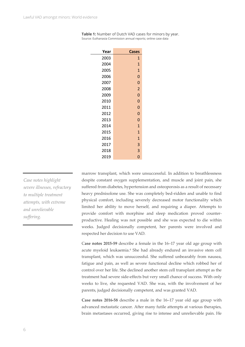| Year | <b>Cases</b>   |  |
|------|----------------|--|
| 2003 | 1              |  |
| 2004 | $\mathbf{1}$   |  |
| 2005 | $\mathbf{1}$   |  |
| 2006 | 0              |  |
| 2007 | O              |  |
| 2008 | $\overline{2}$ |  |
| 2009 | $\overline{0}$ |  |
| 2010 | O              |  |
| 2011 | $\overline{0}$ |  |
| 2012 | 0              |  |
| 2013 | 0              |  |
| 2014 | $\mathbf{1}$   |  |
| 2015 | $\overline{1}$ |  |
| 2016 | $\overline{1}$ |  |
| 2017 | 3              |  |
| 2018 | 3              |  |
| 2019 | 0              |  |

| Table 1: Number of Dutch VAD cases for minors by year.         |  |
|----------------------------------------------------------------|--|
| Source: Euthanasia Commission annual reports; online case data |  |

*Case notes highlight severe illnesses, refractory to multiple treatment attempts, with extreme and unrelievable suffering.*

marrow transplant, which were unsuccessful. In addition to breathlessness despite constant oxygen supplementation, and muscle and joint pain, she suffered from diabetes, hypertension and osteoporosis as a result of necessary heavy prednisolone use. She was completely bed-ridden and unable to find physical comfort, including severely decreased motor functionality which limited her ability to move herself, and requiring a diaper. Attempts to provide comfort with morphine and sleep medication proved counterproductive. Healing was not possible and she was expected to die within weeks. Judged decisionally competent, her parents were involved and respected her decision to use VAD.

C**ase notes 2015-59** describe a female in the 16–17 year old age group with acute myeloid leukaemia.<sup>4</sup> She had already endured an invasive stem cell transplant, which was unsuccessful. She suffered unbearably from nausea, fatigue and pain, as well as severe functional decline which robbed her of control over her life. She declined another stem cell transplant attempt as the treatment had severe side-effects but very small chance of success. With only weeks to live, she requested VAD. She was, with the involvement of her parents, judged decisionally competent, and was granted VAD.

**Case notes 2016-58** describe a male in the 16–17 year old age group with advanced metastatic cancer. After many futile attempts at various therapies, brain metastases occurred, giving rise to intense and unrelievable pain. He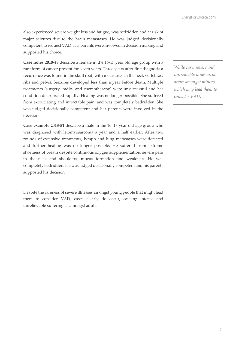also experienced severe weight loss and fatigue, was bedridden and at risk of major seizures due to the brain metastases. He was judged decisionally competent to request VAD. His parents were involved in decision making and supported his choice.

**Case notes 2018-48** describe a female in the 16-17 year old age group with a rare form of cancer present for seven years. Three years after first diagnosis a recurrence was found in the skull roof, with metastases in the neck vertebrae, ribs and pelvis. Seizures developed less than a year before death. Multiple treatments (surgery, radio- and chemotherapy) were unsuccessful and her condition deteriorated rapidly. Healing was no longer possible. She suffered from excruciating and intractable pain, and was completely bedridden. She was judged decisionally competent and her parents were involved in the decision.

**Case example 2018-51** describe a male in the 16–17 year old age group who was diagnosed with leiomyosarcoma a year and a half earlier. After two rounds of extensive treatments, lymph and lung metastases were detected and further healing was no longer possible. He suffered from extreme shortness of breath despite continuous oxygen supplementation, severe pain in the neck and shoulders, mucus formation and weakness. He was completely bedridden. He was judged decisionally competent and his parents supported his decision.

Despite the rareness of severe illnesses amongst young people that might lead them to consider VAD, cases clearly do occur, causing intense and unrelievable suffering as amongst adults.

*While rare, severe and untreatable illnesses do occur amongst minors, which may lead them to consider VAD.*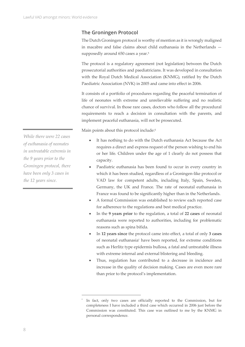#### <span id="page-7-0"></span>**The Groningen Protocol**

The Dutch Groningen protocol is worthy of mention as it is wrongly maligned in macabre and false claims about child euthanasia in the Netherlands supposedly around 650 cases a year. 5

The protocol is a regulatory agreement (not legislation) between the Dutch prosecutorial authorities and paediatricians. It was developed in consultation with the Royal Dutch Medical Association (KNMG), ratified by the Dutch Paediatric Association (NVK) in 2005 and came into effect in 2006.

It consists of a portfolio of procedures regarding the peaceful termination of life of neonates with extreme and unrelievable suffering and no realistic chance of survival. In those rare cases, doctors who follow all the procedural requirements to reach a decision in consultation with the parents, and implement peaceful euthanasia, will not be prosecuted.

Main points about this protocol include:<sup>5</sup>

- It has nothing to do with the Dutch euthanasia Act because the Act requires a direct and express request of the person wishing to end his or her life. Children under the age of 1 clearly do not possess that capacity.
- Paediatric euthanasia has been found to occur in every country in which it has been studied, regardless of a Groningen-like protocol or VAD law for competent adults, including Italy, Spain, Sweden, Germany, the UK and France. The rate of neonatal euthanasia in France was found to be significantly higher than in the Netherlands.
- A formal Commission was established to review each reported case for adherence to the regulations and best medical practice.
- In the **9 years prior** to the regulation, a total of **22 cases** of neonatal euthanasia were reported to authorities, including for problematic reasons such as spina bifida.
- In **12 years since** the protocol came into effect, a total of only **3 cases** of neonatal euthanasia\* have been reported, for extreme conditions such as Herlitz type epidermis bullosa, a fatal and untreatable illness with extreme internal and external blistering and bleeding.
- Thus, regulation has contributed to a decrease in incidence and increase in the quality of decision making. Cases are even more rare than prior to the protocol's implementation.

*While there were 22 cases of euthanasia of neonates in untreatable extremis in the 9 years prior to the Groningen protocol, there have been only 3 cases in the 12 years since.*

<sup>\*</sup> In fact, only two cases are officially reported to the Commission, but for completeness I have included a third case which occurred in 2006 just before the Commission was constituted. This case was outlined to me by the KNMG in personal correspondence.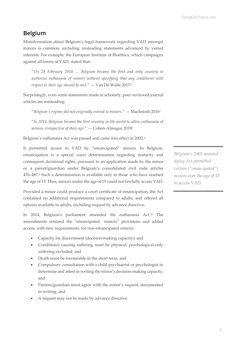# <span id="page-8-0"></span>**Belgium**

Misinformation about Belgium's legal framework regarding VAD amongst minors is common, including misleading statements advanced by vested interests. For example, the European Institute of Bioethics, which campaigns against all forms of VAD, stated that:

"*On 28 February 2014 … Belgium became the first and only country to authorise euthanasia of minors without specifying that any conditions with respect to their age should be met*." — Van De Walle 2017<sup>6</sup>

Surprisingly, even some statements made in scholarly, peer-reviewed journal articles are misleading:

"*Belgium's regime did not originally extend to minors*." — MacIntosh 2016<sup>1</sup>

"*In 2014, Belgium became the first country in the world to allow euthanasia of minors, irrespective of their age*." — Cohen-Almagor 2018<sup>7</sup>

Belgium's euthanasia Act was passed and came into effect in 2002.<sup>8</sup>

It permitted access to VAD by "emancipated" minors. In Belgium, emancipation is a special court determination regarding maturity and consequent decisional rights, pursuant to an application made by the minor or a parent/guardian under Belgium's consolidated civil code articles 476–487. <sup>9</sup> Such a determination is available only to those who have reached the age of 15. Thus, minors under the age of 15 could not lawfully access VAD.

Provided a minor could produce a court certificate of emancipation, the Act contained no additional requirements compared to adults, and offered all options available to adults, including request by advance directive.

In 2014, Belgium's parliament amended the euthanasia Act.<sup>10</sup> The amendments retained the "emancipated minors" provisions and added access, with new requirements, for non-emancipated minors:

- Capacity for discernment (decision-making capacity); and
- Condition/s causing suffering must be physical; psychological-only suffering excluded; and
- Death must be foreseeable in the short term; and
- Compulsory consultation with a child psychiatrist or psychologist to determine and attest in writing the minor's decision-making capacity; and
- Parents/guardian must agree with the minor's request, documented in writing; and
- A request may not be made by advance directive.

*Belgium's 2002 assisted dying Act permitted certain ("emancipated") minors over the age of 15 to access VAD.*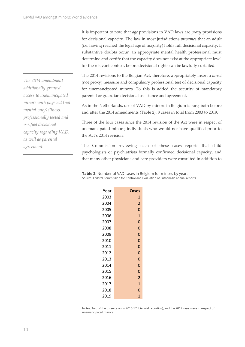It is important to note that *age* provisions in VAD laws are *proxy* provisions for decisional capacity. The law in most jurisdictions *presumes* that an adult (i.e. having reached the legal age of majority) holds full decisional capacity. If substantive doubts occur, an appropriate mental health professional must determine and certify that the capacity does not exist at the appropriate level for the relevant context, before decisional rights can be lawfully curtailed.

The 2014 revisions to the Belgian Act, therefore, appropriately insert a *direct* (not proxy) measure and compulsory professional test of decisional capacity for unemancipated minors. To this is added the security of mandatory parental or guardian decisional assistance and agreement.

As in the Netherlands, use of VAD by minors in Belgium is rare, both before and after the 2014 amendments (Table 2): 8 cases in total from 2003 to 2019.

Three of the four cases since the 2014 revision of the Act were in respect of unemancipated minors; individuals who would not have qualified prior to the Act's 2014 revision.

The Commission reviewing each of these cases reports that child psychologists or psychiatrists formally confirmed decisional capacity, and that many other physicians and care providers were consulted in addition to

**Table 2:** Number of VAD cases in Belgium for minors by year. Source: Federal Commission for Control and Evaluation of Euthanasia annual reports

2012 0 2013 0 2014 0 2015 0 2016 2 2017 1 2018 0 2019 1

Notes: Two of the three cases in 2016/17 (biennial reporting), and the 2019 case, were in respect of unemancipated minors.

*The 2014 amendment additionally granted access to unemancipated minors with physical (not mental-only) illness, professionally tested and verified decisional capacity regarding VAD, as well as parental agreement.*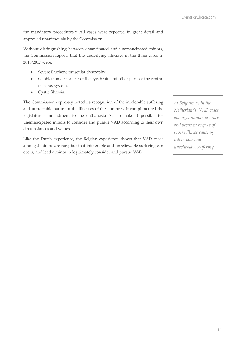the mandatory procedures.<sup>11</sup> All cases were reported in great detail and approved unanimously by the Commission.

Without distinguishing between emancipated and unemancipated minors, the Commission reports that the underlying illnesses in the three cases in 2016/2017 were:

- Severe Duchene muscular dystrophy;
- Glioblastomas: Cancer of the eye, brain and other parts of the central nervous system;
- Cystic fibrosis.

The Commission expressly noted its recognition of the intolerable suffering and untreatable nature of the illnesses of these minors. It complimented the legislature's amendment to the euthanasia Act to make it possible for unemancipated minors to consider and pursue VAD according to their own circumstances and values.

Like the Dutch experience, the Belgian experience shows that VAD cases amongst minors are rare, but that intolerable and unrelievable suffering can occur, and lead a minor to legitimately consider and pursue VAD.

*In Belgium as in the Netherlands, VAD cases amongst minors are rare and occur in respect of severe illness causing intolerable and unrelievable suffering.*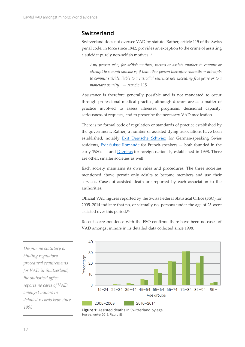# <span id="page-11-0"></span>**Switzerland**

Switzerland does not oversee VAD by statute. Rather, article 115 of the Swiss penal code, in force since 1942, provides an exception to the crime of assisting a suicide: purely non-selfish motives. 12

*Any person who, for selfish motives, incites or assists another to commit or attempt to commit suicide is, if that other person thereafter commits or attempts to commit suicide, liable to a custodial sentence not exceeding five years or to a monetary penalty.* — Article 115

Assistance is therefore generally possible and is not mandated to occur through professional medical practice, although doctors are as a matter of practice involved to assess illnesses, prognosis, decisional capacity, seriousness of requests, and to prescribe the necessary VAD medication.

There is no formal code of regulation or standards of practice established by the government. Rather, a number of assisted dying associations have been established, notably [Exit Deutsche Schwiez](https://exit.ch/) for German-speaking Swiss residents, [Exit Suisse Romande](https://exit-romandie.ch/) for French-speakers — both founded in the early 1980s — and [Dignitas](http://www.dignitas.ch/) for foreign nationals, established in 1998. There are other, smaller societies as well.

Each society maintains its own rules and procedures. The three societies mentioned above permit only adults to become members and use their services. Cases of assisted death are reported by each association to the authorities.

Official VAD figures reported by the Swiss Federal Statistical Office (FSO) for 2005–2014 indicate that no, or virtually no, persons under the age of 25 were assisted over this period. 13

Recent correspondence with the FSO confirms there have been no cases of VAD amongst minors in its detailed data collected since 1998.





*Despite no statutory or binding regulatory procedural requirements for VAD in Switzerland, the statistical office reports no cases of VAD amongst minors in detailed records kept since 1998.*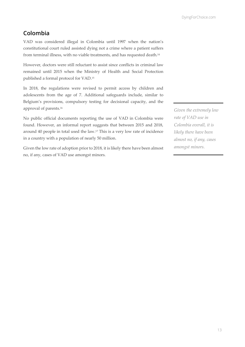# <span id="page-12-0"></span>**Colombia**

VAD was considered illegal in Colombia until 1997 when the nation's constitutional court ruled assisted dying not a crime where a patient suffers from terminal illness, with no viable treatments, and has requested death.<sup>14</sup>

However, doctors were still reluctant to assist since conflicts in criminal law remained until 2015 when the Ministry of Health and Social Protection published a formal protocol for VAD. 15

In 2018, the regulations were revised to permit access by children and adolescents from the age of 7. Additional safeguards include, similar to Belgium's provisions, compulsory testing for decisional capacity, and the approval of parents. 16

No public official documents reporting the use of VAD in Colombia were found. However, an informal report suggests that between 2015 and 2018, around 40 people in total used the law.<sup>17</sup> This is a very low rate of incidence in a country with a population of nearly 50 million.

Given the low rate of adoption prior to 2018, it is likely there have been almost no, if any, cases of VAD use amongst minors.

*Given the extremely low rate of VAD use in Colombia overall, it is likely there have been almost no, if any, cases amongst minors.*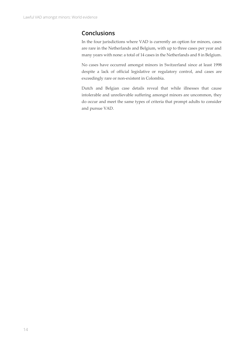# <span id="page-13-0"></span>**Conclusions**

In the four jurisdictions where VAD is currently an option for minors, cases are rare in the Netherlands and Belgium, with up to three cases per year and many years with none: a total of 14 cases in the Netherlands and 8 in Belgium.

No cases have occurred amongst minors in Switzerland since at least 1998 despite a lack of official legislative or regulatory control, and cases are exceedingly rare or non-existent in Colombia.

Dutch and Belgian case details reveal that while illnesses that cause intolerable and unrelievable suffering amongst minors are uncommon, they do occur and meet the same types of criteria that prompt adults to consider and pursue VAD.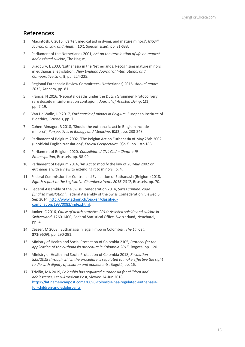# <span id="page-14-0"></span>**References**

- 1 Macintosh, C 2016, 'Carter, medical aid in dying, and mature minors', *McGill Journal of Law and Health*, **10**(1 Special Issue), pp. S1-S33.
- 2 Parliament of the Netherlands 2001, *Act on the termination of life on request and assisted suicide*, The Hague,
- 3 Bradbury, L 2003, 'Euthanasia in the Netherlands: Recognizing mature minors in euthanasia leglislation', *New England Journal of International and Comparative Law*, **9**, pp. 224-225.
- 4 Regional Euthanasia Review Committees (Netherlands) 2016, *Annual report 2015*, Arnhem, pp. 81.
- 5 Francis, N 2016, 'Neonatal deaths under the Dutch Groningen Protocol very rare despite misinformation contagion', *Journal of Assisted Dying*, **1**(1), pp. 7-19.
- 6 Van De Walle, J-P 2017, *Euthanasia of minors in Belgium*, European Institute of Bioethics, Brussels, pp. 7.
- 7 Cohen-Almagor, R 2018, 'Should the euthanasia act in Belgium include minors?', *Perspectives in Biology and Medicine*, **61**(2), pp. 230-248.
- 8 Parliament of Belgium 2002, 'The Belgian Act on Euthanasia of May 28th 2002 (unofficial English translation)', *Ethical Perspectives*, **9**(2-3), pp. 182-188.
- 9 Parliament of Belgium 2020, *Consolidated Civil Code: Chapter III - Emancipation*, Brussels, pp. 98-99.
- 10 Parliament of Belgium 2014, 'An Act to modify the law of 28 May 2002 on euthanasia with a view to extending it to minors', p. 4.
- 11 Federal Commission for Control and Evaluation of Euthanasia (Belgium) 2018, *Eighth report to the Legislative Chambers: Years 2016-2017*, Brussels, pp. 70.
- 12 Federal Assembly of the Swiss Confederation 2014, *Swiss criminal code [English translation]*, Federal Assembly of the Swiss Confederation, viewed 3 Sep 2014, [http://www.admin.ch/opc/en/classified](http://www.admin.ch/opc/en/classified-compilation/19370083/index.html)[compilation/19370083/index.html.](http://www.admin.ch/opc/en/classified-compilation/19370083/index.html)
- 13 Junker, C 2016, *Cause of death statistics 2014: Assisted suicide and suicide in Switzerland*, 1260-1400, Federal Statistical Office, Switzerland, Neuchatel, pp. 4.
- 14 Ceaser, M 2008, 'Euthanasia in legal limbo in Colombia', *The Lancet*, **371**(9609), pp. 290-291.
- 15 Ministry of Health and Social Protection of Colombia 2105, *Protocol for the application of the euthanasia procedure in Colombia 2015*, Bogotá, pp. 120.
- 16 Ministry of Health and Social Protection of Colombia 2018, *Resolution 825/2018 through which the procedure is regulated to make effective the right to die with dignity of children and adolescents*, Bogotá, pp. 16.
- 17 Triviño, MA 2019, *Colombia has regulated euthanasia for children and adolescents*, Latin-American Post, viewed 24-Jun 2018, [https://latinamericanpost.com/20090-colombia-has-regulated-euthanasia](https://latinamericanpost.com/20090-colombia-has-regulated-euthanasia-for-children-and-adolescents)[for-children-and-adolescents](https://latinamericanpost.com/20090-colombia-has-regulated-euthanasia-for-children-and-adolescents).